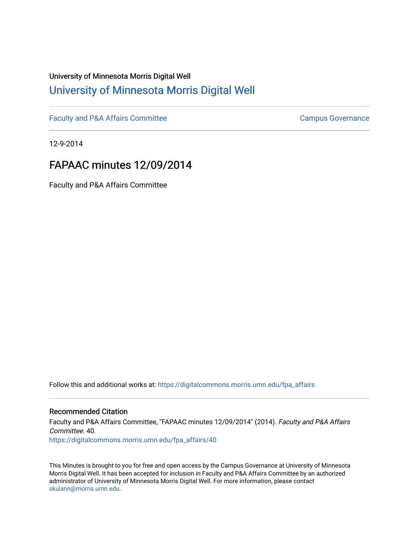## University of Minnesota Morris Digital Well [University of Minnesota Morris Digital Well](https://digitalcommons.morris.umn.edu/)

[Faculty and P&A Affairs Committee](https://digitalcommons.morris.umn.edu/fpa_affairs) [Campus Governance](https://digitalcommons.morris.umn.edu/campgov) Campus Governance

12-9-2014

## FAPAAC minutes 12/09/2014

Faculty and P&A Affairs Committee

Follow this and additional works at: [https://digitalcommons.morris.umn.edu/fpa\\_affairs](https://digitalcommons.morris.umn.edu/fpa_affairs?utm_source=digitalcommons.morris.umn.edu%2Ffpa_affairs%2F40&utm_medium=PDF&utm_campaign=PDFCoverPages)

## Recommended Citation

Faculty and P&A Affairs Committee, "FAPAAC minutes 12/09/2014" (2014). Faculty and P&A Affairs Committee. 40. [https://digitalcommons.morris.umn.edu/fpa\\_affairs/40](https://digitalcommons.morris.umn.edu/fpa_affairs/40?utm_source=digitalcommons.morris.umn.edu%2Ffpa_affairs%2F40&utm_medium=PDF&utm_campaign=PDFCoverPages) 

This Minutes is brought to you for free and open access by the Campus Governance at University of Minnesota Morris Digital Well. It has been accepted for inclusion in Faculty and P&A Affairs Committee by an authorized administrator of University of Minnesota Morris Digital Well. For more information, please contact [skulann@morris.umn.edu.](mailto:skulann@morris.umn.edu)